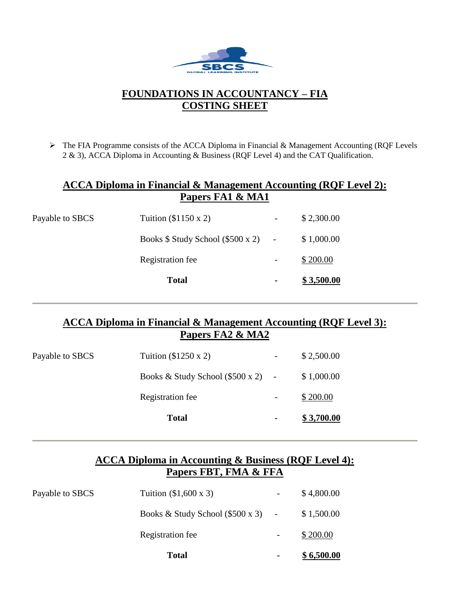

# **FOUNDATIONS IN ACCOUNTANCY – FIA COSTING SHEET**

➢ The FIA Programme consists of the ACCA Diploma in Financial & Management Accounting (RQF Levels 2 & 3), ACCA Diploma in Accounting & Business (RQF Level 4) and the CAT Qualification.

### **ACCA Diploma in Financial & Management Accounting (RQF Level 2): Papers FA1 & MA1**

|                 | <b>Total</b>                       | ٠ | \$3,500.00 |
|-----------------|------------------------------------|---|------------|
|                 | Registration fee                   |   | \$200.00   |
|                 | Books $$Study School ($500 x 2)$ - |   | \$1,000.00 |
| Payable to SBCS | Tuition $(\$1150 \times 2)$        | - | \$2,300.00 |

### **ACCA Diploma in Financial & Management Accounting (RQF Level 3): Papers FA2 & MA2**

|                 | <b>Total</b>                         | ۰ | \$3,700.00 |
|-----------------|--------------------------------------|---|------------|
|                 | Registration fee                     |   | \$200.00   |
|                 | Books & Study School $(\$500 x 2)$ - |   | \$1,000.00 |
| Payable to SBCS | Tuition $(\$1250 \times 2)$          |   | \$2,500.00 |

## **ACCA Diploma in Accounting & Business (RQF Level 4): Papers FBT, FMA & FFA**

|                 | <b>Total</b>                              | $\blacksquare$ | \$6,500.00 |
|-----------------|-------------------------------------------|----------------|------------|
|                 | Registration fee                          |                | \$200.00   |
|                 | Books & Study School $(\$500 \times 3)$ - |                | \$1,500.00 |
| Payable to SBCS | Tuition $(\$1,600 \times 3)$              |                | \$4,800.00 |